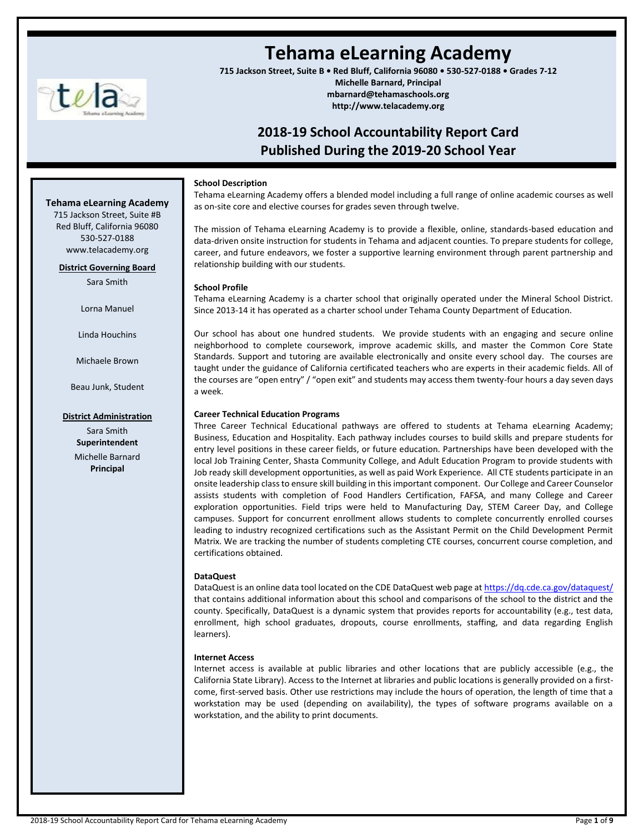

**Tehama eLearning Academy** 715 Jackson Street, Suite #B Red Bluff, California 96080 530-527-0188 www.telacademy.org **District Governing Board** Sara Smith

Lorna Manuel

Linda Houchins

Michaele Brown

Beau Junk, Student

**District Administration** Sara Smith **Superintendent** Michelle Barnard **Principal**

# **Tehama eLearning Academy**

**715 Jackson Street, Suite B • Red Bluff, California 96080 • 530-527-0188 • Grades 7-12**

**Michelle Barnard, Principal mbarnard@tehamaschools.org http://www.telacademy.org**

## **2018-19 School Accountability Report Card Published During the 2019-20 School Year**

#### **School Description**

Tehama eLearning Academy offers a blended model including a full range of online academic courses as well as on-site core and elective courses for grades seven through twelve.

The mission of Tehama eLearning Academy is to provide a flexible, online, standards-based education and data-driven onsite instruction for students in Tehama and adjacent counties. To prepare students for college, career, and future endeavors, we foster a supportive learning environment through parent partnership and relationship building with our students.

#### **School Profile**

Tehama eLearning Academy is a charter school that originally operated under the Mineral School District. Since 2013-14 it has operated as a charter school under Tehama County Department of Education.

Our school has about one hundred students. We provide students with an engaging and secure online neighborhood to complete coursework, improve academic skills, and master the Common Core State Standards. Support and tutoring are available electronically and onsite every school day. The courses are taught under the guidance of California certificated teachers who are experts in their academic fields. All of the courses are "open entry" / "open exit" and students may access them twenty-four hours a day seven days a week.

#### **Career Technical Education Programs**

Three Career Technical Educational pathways are offered to students at Tehama eLearning Academy; Business, Education and Hospitality. Each pathway includes courses to build skills and prepare students for entry level positions in these career fields, or future education. Partnerships have been developed with the local Job Training Center, Shasta Community College, and Adult Education Program to provide students with Job ready skill development opportunities, as well as paid Work Experience. All CTE students participate in an onsite leadership class to ensure skill building in this important component. Our College and Career Counselor assists students with completion of Food Handlers Certification, FAFSA, and many College and Career exploration opportunities. Field trips were held to Manufacturing Day, STEM Career Day, and College campuses. Support for concurrent enrollment allows students to complete concurrently enrolled courses leading to industry recognized certifications such as the Assistant Permit on the Child Development Permit Matrix. We are tracking the number of students completing CTE courses, concurrent course completion, and certifications obtained.

#### **DataQuest**

DataQuest is an online data tool located on the CDE DataQuest web page a[t https://dq.cde.ca.gov/dataquest/](https://dq.cde.ca.gov/dataquest/) that contains additional information about this school and comparisons of the school to the district and the county. Specifically, DataQuest is a dynamic system that provides reports for accountability (e.g., test data, enrollment, high school graduates, dropouts, course enrollments, staffing, and data regarding English learners).

#### **Internet Access**

Internet access is available at public libraries and other locations that are publicly accessible (e.g., the California State Library). Access to the Internet at libraries and public locations is generally provided on a firstcome, first-served basis. Other use restrictions may include the hours of operation, the length of time that a workstation may be used (depending on availability), the types of software programs available on a workstation, and the ability to print documents.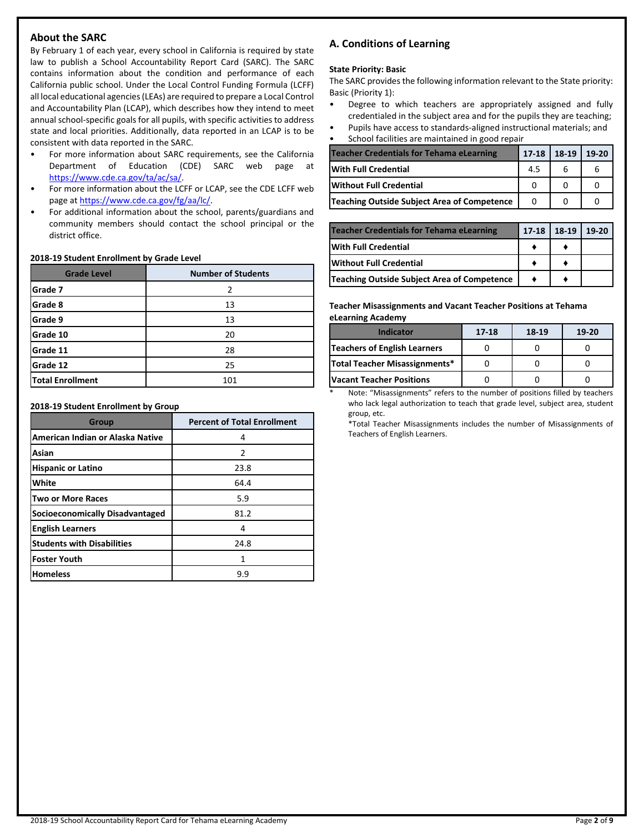## **About the SARC**

By February 1 of each year, every school in California is required by state law to publish a School Accountability Report Card (SARC). The SARC contains information about the condition and performance of each California public school. Under the Local Control Funding Formula (LCFF) all local educational agencies (LEAs) are required to prepare a Local Control and Accountability Plan (LCAP), which describes how they intend to meet annual school-specific goals for all pupils, with specific activities to address state and local priorities. Additionally, data reported in an LCAP is to be consistent with data reported in the SARC.

- For more information about SARC requirements, see the California Department of Education (CDE) SARC web page at [https://www.cde.ca.gov/ta/ac/sa/.](https://www.cde.ca.gov/ta/ac/sa/)
- For more information about the LCFF or LCAP, see the CDE LCFF web page at [https://www.cde.ca.gov/fg/aa/lc/.](https://www.cde.ca.gov/fg/aa/lc/)
- For additional information about the school, parents/guardians and community members should contact the school principal or the district office.

#### **2018-19 Student Enrollment by Grade Level**

| <b>Grade Level</b>      | <b>Number of Students</b> |
|-------------------------|---------------------------|
| Grade 7                 |                           |
| Grade 8                 | 13                        |
| Grade 9                 | 13                        |
| Grade 10                | 20                        |
| Grade 11                | 28                        |
| Grade 12                | 25                        |
| <b>Total Enrollment</b> | 101                       |

**2018-19 Student Enrollment by Group**

| <b>Group</b>                           | <b>Percent of Total Enrollment</b> |
|----------------------------------------|------------------------------------|
| American Indian or Alaska Native       | 4                                  |
| Asian                                  | $\mathcal{P}$                      |
| <b>Hispanic or Latino</b>              | 23.8                               |
| White                                  | 64.4                               |
| <b>Two or More Races</b>               | 5.9                                |
| <b>Socioeconomically Disadvantaged</b> | 81.2                               |
| <b>English Learners</b>                | 4                                  |
| <b>Students with Disabilities</b>      | 24.8                               |
| Foster Youth                           | 1                                  |
| <b>Homeless</b>                        | 9.9                                |

## **A. Conditions of Learning**

#### **State Priority: Basic**

The SARC provides the following information relevant to the State priority: Basic (Priority 1):

- Degree to which teachers are appropriately assigned and fully credentialed in the subject area and for the pupils they are teaching;
- Pupils have access to standards-aligned instructional materials; and • School facilities are maintained in good repair

| <b>Teacher Credentials for Tehama eLearning</b> | $17 - 18$ | 18-19 | 19-20 |
|-------------------------------------------------|-----------|-------|-------|
| <b>With Full Credential</b>                     | 4.5       |       |       |
| <b>Without Full Credential</b>                  |           |       |       |
| Teaching Outside Subject Area of Competence     |           |       |       |

| <b>Teacher Credentials for Tehama eLearning</b> | 17-18 | 18-19 | $19-20$ |
|-------------------------------------------------|-------|-------|---------|
| <b>IWith Full Credential</b>                    |       |       |         |
| <b>Without Full Credential</b>                  |       |       |         |
| Teaching Outside Subject Area of Competence     |       |       |         |

#### **Teacher Misassignments and Vacant Teacher Positions at Tehama eLearning Academy**

| <b>Indicator</b>                     | 17-18 | 18-19 | $19-20$ |
|--------------------------------------|-------|-------|---------|
| <b>Teachers of English Learners</b>  |       |       |         |
| <b>Total Teacher Misassignments*</b> |       |       |         |
| <b>Vacant Teacher Positions</b>      |       |       |         |

Note: "Misassignments" refers to the number of positions filled by teachers who lack legal authorization to teach that grade level, subject area, student group, etc.

\*Total Teacher Misassignments includes the number of Misassignments of Teachers of English Learners.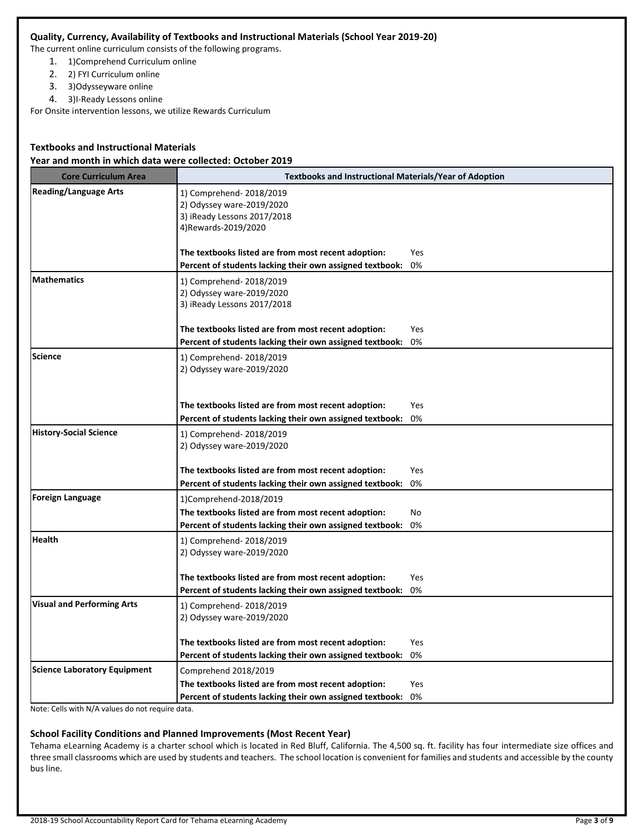## **Quality, Currency, Availability of Textbooks and Instructional Materials (School Year 2019-20)**

The current online curriculum consists of the following programs.

- 1. 1)Comprehend Curriculum online
- 2. 2) FYI Curriculum online
- 3. 3)Odysseyware online
- 4. 3)I-Ready Lessons online

For Onsite intervention lessons, we utilize Rewards Curriculum

## **Textbooks and Instructional Materials**

## **Year and month in which data were collected: October 2019**

| <b>Core Curriculum Area</b>         | <b>Textbooks and Instructional Materials/Year of Adoption</b>                                                                             |           |  |  |  |
|-------------------------------------|-------------------------------------------------------------------------------------------------------------------------------------------|-----------|--|--|--|
| <b>Reading/Language Arts</b>        | 1) Comprehend-2018/2019<br>2) Odyssey ware-2019/2020<br>3) iReady Lessons 2017/2018<br>4) Rewards-2019/2020                               |           |  |  |  |
|                                     | The textbooks listed are from most recent adoption:<br>Percent of students lacking their own assigned textbook:                           | Yes<br>0% |  |  |  |
| <b>Mathematics</b>                  | 1) Comprehend-2018/2019<br>2) Odyssey ware-2019/2020<br>3) iReady Lessons 2017/2018                                                       |           |  |  |  |
|                                     | The textbooks listed are from most recent adoption:<br>Percent of students lacking their own assigned textbook:                           | Yes<br>0% |  |  |  |
| <b>Science</b>                      | 1) Comprehend-2018/2019<br>2) Odyssey ware-2019/2020                                                                                      |           |  |  |  |
|                                     | The textbooks listed are from most recent adoption:<br>Percent of students lacking their own assigned textbook:                           | Yes<br>0% |  |  |  |
| <b>History-Social Science</b>       | 1) Comprehend-2018/2019<br>2) Odyssey ware-2019/2020                                                                                      |           |  |  |  |
|                                     | The textbooks listed are from most recent adoption:<br>Percent of students lacking their own assigned textbook:                           | Yes<br>0% |  |  |  |
| <b>Foreign Language</b>             | 1)Comprehend-2018/2019<br>The textbooks listed are from most recent adoption:<br>Percent of students lacking their own assigned textbook: | No.<br>0% |  |  |  |
| <b>Health</b>                       | 1) Comprehend-2018/2019<br>2) Odyssey ware-2019/2020                                                                                      |           |  |  |  |
|                                     | The textbooks listed are from most recent adoption:<br>Percent of students lacking their own assigned textbook:                           | Yes<br>0% |  |  |  |
| <b>Visual and Performing Arts</b>   | 1) Comprehend-2018/2019<br>2) Odyssey ware-2019/2020                                                                                      |           |  |  |  |
|                                     | The textbooks listed are from most recent adoption:<br>Percent of students lacking their own assigned textbook:                           | Yes<br>0% |  |  |  |
| <b>Science Laboratory Equipment</b> | Comprehend 2018/2019                                                                                                                      |           |  |  |  |
|                                     | The textbooks listed are from most recent adoption:<br>Percent of students lacking their own assigned textbook:                           | Yes<br>0% |  |  |  |

Note: Cells with N/A values do not require data.

#### **School Facility Conditions and Planned Improvements (Most Recent Year)**

Tehama eLearning Academy is a charter school which is located in Red Bluff, California. The 4,500 sq. ft. facility has four intermediate size offices and three small classrooms which are used by students and teachers. The school location is convenient for families and students and accessible by the county bus line.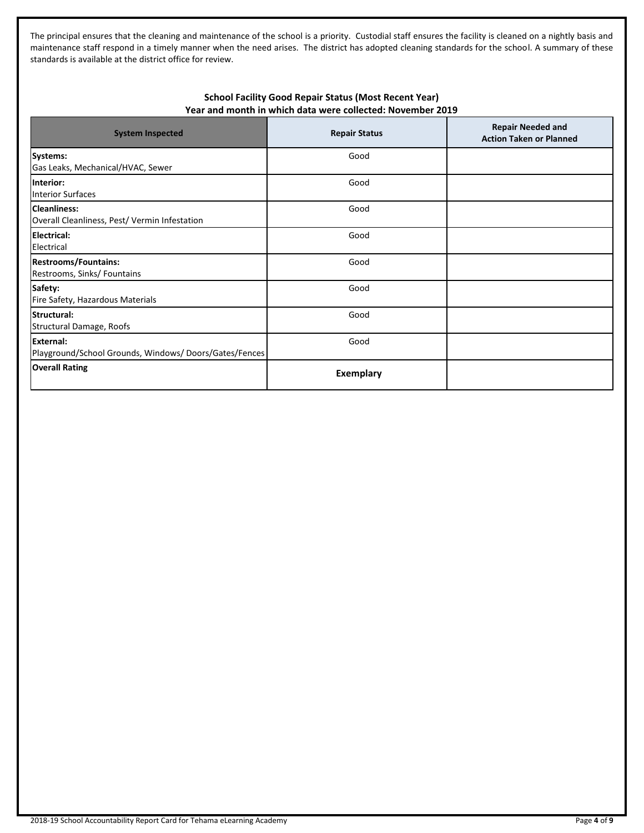The principal ensures that the cleaning and maintenance of the school is a priority. Custodial staff ensures the facility is cleaned on a nightly basis and maintenance staff respond in a timely manner when the need arises. The district has adopted cleaning standards for the school. A summary of these standards is available at the district office for review.

## **School Facility Good Repair Status (Most Recent Year) Year and month in which data were collected: November 2019**

| <b>System Inspected</b>                                                   | <b>Repair Status</b> | <b>Repair Needed and</b><br><b>Action Taken or Planned</b> |
|---------------------------------------------------------------------------|----------------------|------------------------------------------------------------|
| Systems:<br>Gas Leaks, Mechanical/HVAC, Sewer                             | Good                 |                                                            |
| Interior:<br><b>Interior Surfaces</b>                                     | Good                 |                                                            |
| <b>Cleanliness:</b><br>Overall Cleanliness, Pest/ Vermin Infestation      | Good                 |                                                            |
| <b>Electrical:</b><br>Electrical                                          | Good                 |                                                            |
| <b>Restrooms/Fountains:</b><br>Restrooms, Sinks/ Fountains                | Good                 |                                                            |
| Safety:<br>Fire Safety, Hazardous Materials                               | Good                 |                                                            |
| Structural:<br>Structural Damage, Roofs                                   | Good                 |                                                            |
| <b>External:</b><br>Playground/School Grounds, Windows/Doors/Gates/Fences | Good                 |                                                            |
| <b>Overall Rating</b>                                                     | Exemplary            |                                                            |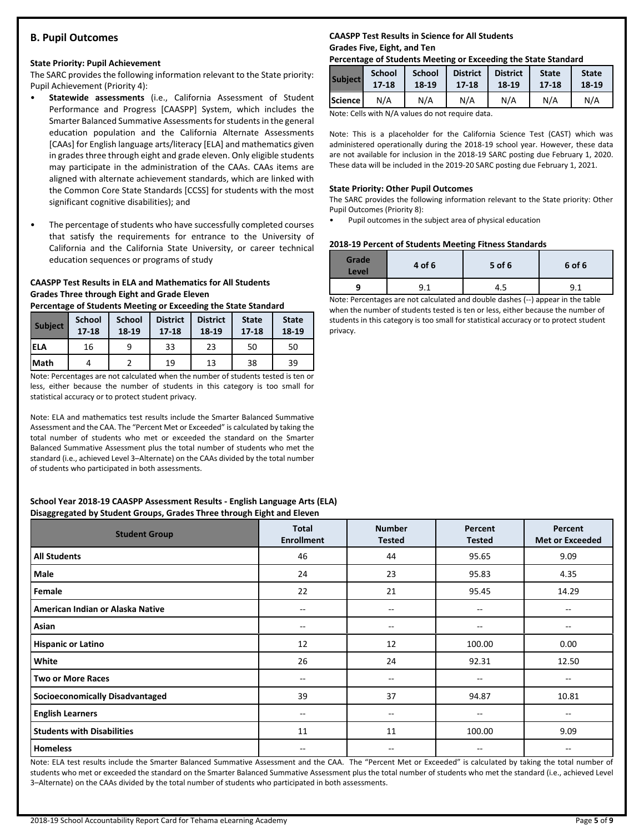## **B. Pupil Outcomes**

#### **State Priority: Pupil Achievement**

The SARC provides the following information relevant to the State priority: Pupil Achievement (Priority 4):

- **Statewide assessments** (i.e., California Assessment of Student Performance and Progress [CAASPP] System, which includes the Smarter Balanced Summative Assessments for students in the general education population and the California Alternate Assessments [CAAs] for English language arts/literacy [ELA] and mathematics given in grades three through eight and grade eleven. Only eligible students may participate in the administration of the CAAs. CAAs items are aligned with alternate achievement standards, which are linked with the Common Core State Standards [CCSS] for students with the most significant cognitive disabilities); and
- The percentage of students who have successfully completed courses that satisfy the requirements for entrance to the University of California and the California State University, or career technical education sequences or programs of study

## **CAASPP Test Results in ELA and Mathematics for All Students Grades Three through Eight and Grade Eleven**

**Percentage of Students Meeting or Exceeding the State Standard**

| <b>Subject</b> | <b>School</b><br>$17 - 18$ | <b>School</b><br>18-19 | <b>District</b><br>$17 - 18$ | <b>District</b><br>18-19 | <b>State</b><br>$17 - 18$ | <b>State</b><br>18-19 |
|----------------|----------------------------|------------------------|------------------------------|--------------------------|---------------------------|-----------------------|
| <b>ELA</b>     | 16                         | ٩                      | 33                           | 23                       | 50                        | 50                    |
| Math           | Д                          |                        | 19                           | 13                       | 38                        | 39                    |

Note: Percentages are not calculated when the number of students tested is ten or less, either because the number of students in this category is too small for statistical accuracy or to protect student privacy.

Note: ELA and mathematics test results include the Smarter Balanced Summative Assessment and the CAA. The "Percent Met or Exceeded" is calculated by taking the total number of students who met or exceeded the standard on the Smarter Balanced Summative Assessment plus the total number of students who met the standard (i.e., achieved Level 3–Alternate) on the CAAs divided by the total number of students who participated in both assessments.

#### **School Year 2018-19 CAASPP Assessment Results - English Language Arts (ELA) Disaggregated by Student Groups, Grades Three through Eight and Eleven**

| . .<br><b>Student Group</b>            | <b>Total</b><br><b>Enrollment</b> | <b>Number</b><br><b>Tested</b> | Percent<br><b>Tested</b> | Percent<br><b>Met or Exceeded</b> |
|----------------------------------------|-----------------------------------|--------------------------------|--------------------------|-----------------------------------|
| <b>All Students</b>                    | 46                                | 44                             | 95.65                    | 9.09                              |
| Male                                   | 24                                | 23                             | 95.83                    | 4.35                              |
| Female                                 | 22                                | 21                             | 95.45                    | 14.29                             |
| American Indian or Alaska Native       | --                                | $- -$                          | --                       | --                                |
| Asian                                  | $- -$                             | $- -$                          | $\hspace{0.05cm}$        | $- -$                             |
| <b>Hispanic or Latino</b>              | 12                                | 12                             | 100.00                   | 0.00                              |
| White                                  | 26                                | 24                             | 92.31                    | 12.50                             |
| <b>Two or More Races</b>               | --                                | $\overline{\phantom{a}}$       | --                       | $-$                               |
| <b>Socioeconomically Disadvantaged</b> | 39                                | 37                             | 94.87                    | 10.81                             |
| <b>English Learners</b>                | --                                | --                             | --                       | $- -$                             |
| <b>Students with Disabilities</b>      | 11                                | 11                             | 100.00                   | 9.09                              |
| <b>Homeless</b>                        | $- -$                             | --                             | --                       | $- -$                             |

Note: ELA test results include the Smarter Balanced Summative Assessment and the CAA. The "Percent Met or Exceeded" is calculated by taking the total number of students who met or exceeded the standard on the Smarter Balanced Summative Assessment plus the total number of students who met the standard (i.e., achieved Level 3–Alternate) on the CAAs divided by the total number of students who participated in both assessments.

## **CAASPP Test Results in Science for All Students Grades Five, Eight, and Ten**

#### **Percentage of Students Meeting or Exceeding the State Standard**

| <b>Subject</b> | <b>School</b> | <b>School</b> | <b>District</b> | <b>District</b> | <b>State</b> | <b>State</b> |
|----------------|---------------|---------------|-----------------|-----------------|--------------|--------------|
|                | $17 - 18$     | 18-19         | 17-18           | 18-19           | 17-18        | 18-19        |
| Science l      | N/A           | N/A           | N/A             | N/A             | N/A          | N/A          |

Note: Cells with N/A values do not require data.

Note: This is a placeholder for the California Science Test (CAST) which was administered operationally during the 2018-19 school year. However, these data are not available for inclusion in the 2018-19 SARC posting due February 1, 2020. These data will be included in the 2019-20 SARC posting due February 1, 2021.

#### **State Priority: Other Pupil Outcomes**

The SARC provides the following information relevant to the State priority: Other Pupil Outcomes (Priority 8):

• Pupil outcomes in the subject area of physical education

#### **2018-19 Percent of Students Meeting Fitness Standards**

| Grade<br>Level | 4 of 6 | 5 of 6 | 6 of 6 |
|----------------|--------|--------|--------|
|                | 9.1    | 4.5    | 9.1    |

Note: Percentages are not calculated and double dashes (--) appear in the table when the number of students tested is ten or less, either because the number of students in this category is too small for statistical accuracy or to protect student privacy.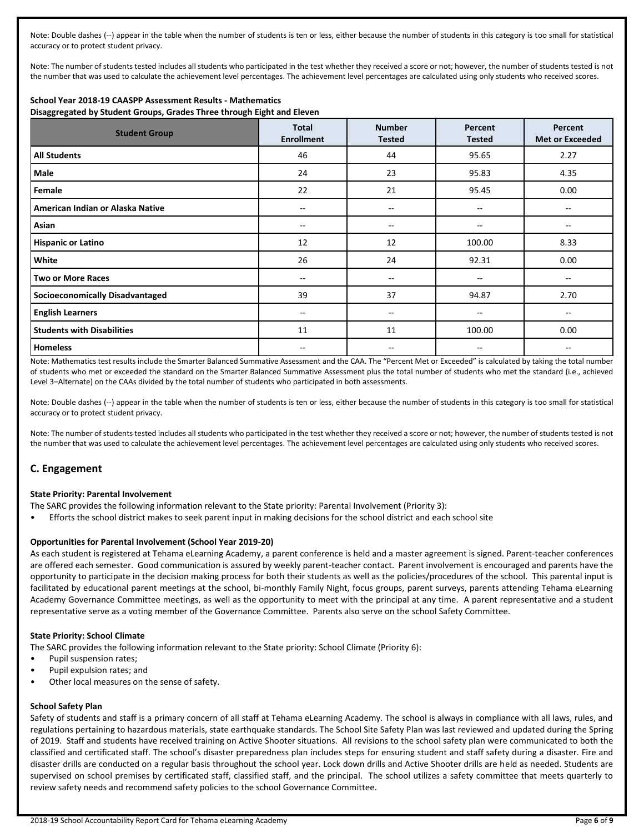Note: Double dashes (--) appear in the table when the number of students is ten or less, either because the number of students in this category is too small for statistical accuracy or to protect student privacy.

Note: The number of students tested includes all students who participated in the test whether they received a score or not; however, the number of students tested is not the number that was used to calculate the achievement level percentages. The achievement level percentages are calculated using only students who received scores.

## **School Year 2018-19 CAASPP Assessment Results - Mathematics**

**Disaggregated by Student Groups, Grades Three through Eight and Eleven**

| <b>Student Group</b>                   | <b>Total</b><br><b>Enrollment</b> | <b>Number</b><br><b>Tested</b>        | Percent<br><b>Tested</b> | Percent<br><b>Met or Exceeded</b> |
|----------------------------------------|-----------------------------------|---------------------------------------|--------------------------|-----------------------------------|
| <b>All Students</b>                    | 46                                | 44                                    | 95.65                    | 2.27                              |
| Male                                   | 24                                | 23                                    | 95.83                    | 4.35                              |
| Female                                 | 22                                | 21                                    | 95.45                    | 0.00                              |
| American Indian or Alaska Native       | $-$                               | $\overline{\phantom{a}}$              | --                       | --                                |
| Asian                                  | --                                | $\hspace{0.05cm}$ – $\hspace{0.05cm}$ | --                       | --                                |
| <b>Hispanic or Latino</b>              | 12                                | 12                                    | 100.00                   | 8.33                              |
| White                                  | 26                                | 24                                    | 92.31                    | 0.00                              |
| <b>Two or More Races</b>               | $- -$                             | $\hspace{0.05cm}$ – $\hspace{0.05cm}$ | --                       | --                                |
| <b>Socioeconomically Disadvantaged</b> | 39                                | 37                                    | 94.87                    | 2.70                              |
| <b>English Learners</b>                | --                                | $\hspace{0.05cm}$ – $\hspace{0.05cm}$ | --                       | --                                |
| <b>Students with Disabilities</b>      | 11                                | 11                                    | 100.00                   | 0.00                              |
| <b>Homeless</b>                        | --                                | --                                    | --                       | --                                |

Note: Mathematics test results include the Smarter Balanced Summative Assessment and the CAA. The "Percent Met or Exceeded" is calculated by taking the total number of students who met or exceeded the standard on the Smarter Balanced Summative Assessment plus the total number of students who met the standard (i.e., achieved Level 3–Alternate) on the CAAs divided by the total number of students who participated in both assessments.

Note: Double dashes (--) appear in the table when the number of students is ten or less, either because the number of students in this category is too small for statistical accuracy or to protect student privacy.

Note: The number of students tested includes all students who participated in the test whether they received a score or not; however, the number of students tested is not the number that was used to calculate the achievement level percentages. The achievement level percentages are calculated using only students who received scores.

## **C. Engagement**

#### **State Priority: Parental Involvement**

- The SARC provides the following information relevant to the State priority: Parental Involvement (Priority 3):
- Efforts the school district makes to seek parent input in making decisions for the school district and each school site

#### **Opportunities for Parental Involvement (School Year 2019-20)**

As each student is registered at Tehama eLearning Academy, a parent conference is held and a master agreement is signed. Parent-teacher conferences are offered each semester. Good communication is assured by weekly parent-teacher contact. Parent involvement is encouraged and parents have the opportunity to participate in the decision making process for both their students as well as the policies/procedures of the school. This parental input is facilitated by educational parent meetings at the school, bi-monthly Family Night, focus groups, parent surveys, parents attending Tehama eLearning Academy Governance Committee meetings, as well as the opportunity to meet with the principal at any time. A parent representative and a student representative serve as a voting member of the Governance Committee. Parents also serve on the school Safety Committee.

#### **State Priority: School Climate**

The SARC provides the following information relevant to the State priority: School Climate (Priority 6):

- Pupil suspension rates;
- Pupil expulsion rates; and
- Other local measures on the sense of safety.

#### **School Safety Plan**

Safety of students and staff is a primary concern of all staff at Tehama eLearning Academy. The school is always in compliance with all laws, rules, and regulations pertaining to hazardous materials, state earthquake standards. The School Site Safety Plan was last reviewed and updated during the Spring of 2019. Staff and students have received training on Active Shooter situations. All revisions to the school safety plan were communicated to both the classified and certificated staff. The school's disaster preparedness plan includes steps for ensuring student and staff safety during a disaster. Fire and disaster drills are conducted on a regular basis throughout the school year. Lock down drills and Active Shooter drills are held as needed. Students are supervised on school premises by certificated staff, classified staff, and the principal. The school utilizes a safety committee that meets quarterly to review safety needs and recommend safety policies to the school Governance Committee.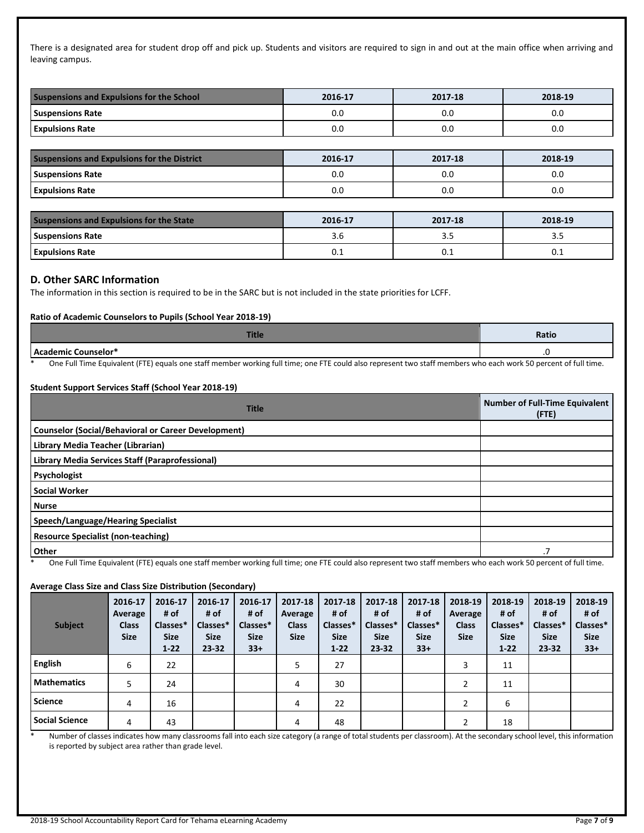There is a designated area for student drop off and pick up. Students and visitors are required to sign in and out at the main office when arriving and leaving campus.

| <b>Suspensions and Expulsions for the School</b> | 2016-17 | 2017-18 | 2018-19 |  |
|--------------------------------------------------|---------|---------|---------|--|
| <b>Suspensions Rate</b>                          | 0.0     | 0.0     | 0.0     |  |
| <b>Expulsions Rate</b>                           | 0.0     | 0.0     | 0.0     |  |

| <b>Suspensions and Expulsions for the District</b> | 2016-17 | 2017-18 | 2018-19 |
|----------------------------------------------------|---------|---------|---------|
| <b>Suspensions Rate</b>                            | 0.0     | 0.0     | 0.0     |
| <b>Expulsions Rate</b>                             | 0.0     | 0.0     | 0.0     |
|                                                    |         |         |         |
| <b>Suspensions and Expulsions for the State</b>    | 2016-17 | 2017-18 | 2018-19 |
| <b>Suspensions Rate</b>                            | 3.6     | 3.5     | 3.5     |
| <b>Expulsions Rate</b>                             |         | 0.1     |         |

#### **D. Other SARC Information**

The information in this section is required to be in the SARC but is not included in the state priorities for LCFF.

#### **Ratio of Academic Counselors to Pupils (School Year 2018-19)**

| . . | Ratio |
|-----|-------|
|     |       |

\* One Full Time Equivalent (FTE) equals one staff member working full time; one FTE could also represent two staff members who each work 50 percent of full time.

#### **Student Support Services Staff (School Year 2018-19)**

| <b>Title</b>                                               | <b>Number of Full-Time Equivalent</b><br>(FTE) |
|------------------------------------------------------------|------------------------------------------------|
| <b>Counselor (Social/Behavioral or Career Development)</b> |                                                |
| Library Media Teacher (Librarian)                          |                                                |
| Library Media Services Staff (Paraprofessional)            |                                                |
| Psychologist                                               |                                                |
| <b>Social Worker</b>                                       |                                                |
| <b>Nurse</b>                                               |                                                |
| Speech/Language/Hearing Specialist                         |                                                |
| <b>Resource Specialist (non-teaching)</b>                  |                                                |
| Other                                                      |                                                |

One Full Time Equivalent (FTE) equals one staff member working full time; one FTE could also represent two staff members who each work 50 percent of full time.

#### **Average Class Size and Class Size Distribution (Secondary)**

| <b>Subject</b>        | 2016-17<br>Average<br><b>Class</b><br><b>Size</b> | 2016-17<br># of<br>Classes*<br><b>Size</b><br>$1 - 22$ | 2016-17<br># of<br>Classes*<br><b>Size</b><br>$23 - 32$ | 2016-17<br># of<br>Classes*<br><b>Size</b><br>$33+$ | 2017-18<br>Average<br><b>Class</b><br><b>Size</b> | 2017-18<br># of<br>Classes*<br><b>Size</b><br>$1 - 22$ | 2017-18<br># of<br>Classes*<br><b>Size</b><br>$23 - 32$ | 2017-18<br># of<br>Classes*<br><b>Size</b><br>$33+$ | 2018-19<br>Average<br><b>Class</b><br><b>Size</b> | 2018-19<br># of<br>Classes*<br><b>Size</b><br>$1 - 22$ | 2018-19<br># of<br>Classes*<br><b>Size</b><br>23-32 | 2018-19<br># of<br>Classes*<br><b>Size</b><br>$33+$ |
|-----------------------|---------------------------------------------------|--------------------------------------------------------|---------------------------------------------------------|-----------------------------------------------------|---------------------------------------------------|--------------------------------------------------------|---------------------------------------------------------|-----------------------------------------------------|---------------------------------------------------|--------------------------------------------------------|-----------------------------------------------------|-----------------------------------------------------|
| English               | 6                                                 | 22                                                     |                                                         |                                                     | 5                                                 | 27                                                     |                                                         |                                                     | 3                                                 | 11                                                     |                                                     |                                                     |
| <b>Mathematics</b>    | 5                                                 | 24                                                     |                                                         |                                                     | 4                                                 | 30                                                     |                                                         |                                                     |                                                   | 11                                                     |                                                     |                                                     |
| <b>Science</b>        | 4                                                 | 16                                                     |                                                         |                                                     | 4                                                 | 22                                                     |                                                         |                                                     | 2                                                 | 6                                                      |                                                     |                                                     |
| <b>Social Science</b> | 4                                                 | 43                                                     |                                                         |                                                     | 4                                                 | 48                                                     |                                                         |                                                     | າ                                                 | 18                                                     |                                                     |                                                     |

\* Number of classes indicates how many classrooms fall into each size category (a range of total students per classroom). At the secondary school level, this information is reported by subject area rather than grade level.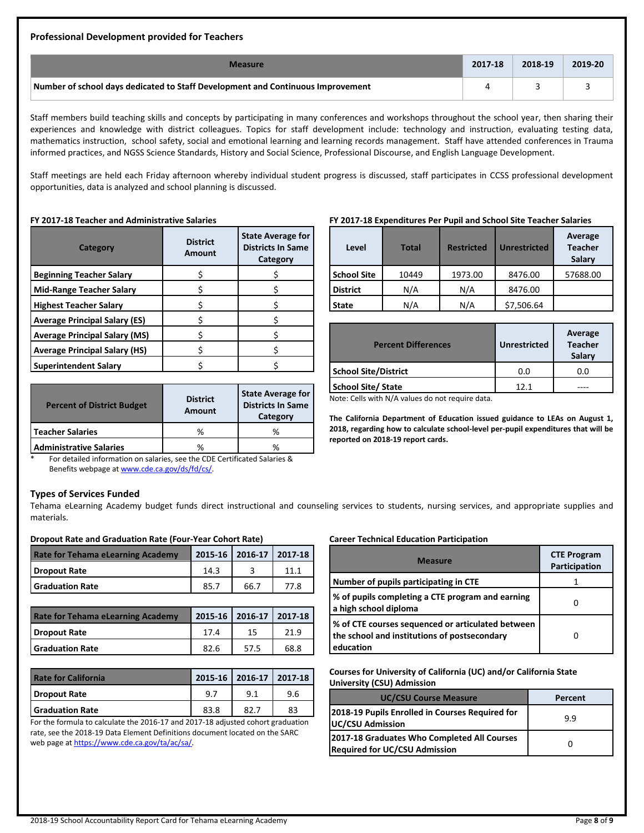#### **Professional Development provided for Teachers**

| <b>Measure</b>                                                                  | 2017-18 | 2018-19 | 2019-20 |
|---------------------------------------------------------------------------------|---------|---------|---------|
| Number of school days dedicated to Staff Development and Continuous Improvement |         |         |         |

Staff members build teaching skills and concepts by participating in many conferences and workshops throughout the school year, then sharing their experiences and knowledge with district colleagues. Topics for staff development include: technology and instruction, evaluating testing data, mathematics instruction, school safety, social and emotional learning and learning records management. Staff have attended conferences in Trauma informed practices, and NGSS Science Standards, History and Social Science, Professional Discourse, and English Language Development.

Staff meetings are held each Friday afternoon whereby individual student progress is discussed, staff participates in CCSS professional development opportunities, data is analyzed and school planning is discussed.

#### **FY 2017-18 Teacher and Administrative Salaries**

| Category                             | <b>District</b><br>Amount | <b>State Average for</b><br><b>Districts In Same</b><br>Category |
|--------------------------------------|---------------------------|------------------------------------------------------------------|
| <b>Beginning Teacher Salary</b>      |                           |                                                                  |
| <b>Mid-Range Teacher Salary</b>      |                           |                                                                  |
| <b>Highest Teacher Salary</b>        |                           |                                                                  |
| <b>Average Principal Salary (ES)</b> |                           |                                                                  |
| <b>Average Principal Salary (MS)</b> |                           |                                                                  |
| <b>Average Principal Salary (HS)</b> |                           |                                                                  |
| <b>Superintendent Salary</b>         |                           |                                                                  |

| <b>Percent of District Budget</b> | <b>District</b><br>Amount | <b>State Average for</b><br><b>Districts In Same</b><br>Category |  |
|-----------------------------------|---------------------------|------------------------------------------------------------------|--|
| <b>Teacher Salaries</b>           | ℅                         | %                                                                |  |
| <b>Administrative Salaries</b>    | ℅                         | ℅                                                                |  |

#### **FY 2017-18 Expenditures Per Pupil and School Site Teacher Salaries**

| Level              | <b>Total</b> | <b>Restricted</b> | <b>Unrestricted</b> | Average<br><b>Teacher</b><br>Salary |
|--------------------|--------------|-------------------|---------------------|-------------------------------------|
| <b>School Site</b> | 10449        | 1973.00           | 8476.00             | 57688.00                            |
| <b>District</b>    | N/A          | N/A<br>8476.00    |                     |                                     |
| <b>State</b>       | N/A          | N/A               | \$7,506.64          |                                     |

| <b>Percent Differences</b>                                    | <b>Unrestricted</b> | Average<br><b>Teacher</b><br>Salary |
|---------------------------------------------------------------|---------------------|-------------------------------------|
| <b>School Site/District</b>                                   | 0.0                 | 0.0                                 |
| <b>School Site/ State</b>                                     | 121                 |                                     |
| المقامل ومتنبهم والمستحار ومرباهين فالقار والمتنبية والمتوالة |                     |                                     |

Note: Cells with N/A values do not require data.

**The California Department of Education issued guidance to LEAs on August 1, 2018, regarding how to calculate school-level per-pupil expenditures that will be reported on 2018-19 report cards.**

For detailed information on salaries, see the CDE Certificated Salaries & Benefits webpage a[t www.cde.ca.gov/ds/fd/cs/.](http://www.cde.ca.gov/ds/fd/cs/)

#### **Types of Services Funded**

Tehama eLearning Academy budget funds direct instructional and counseling services to students, nursing services, and appropriate supplies and materials.

#### **Dropout Rate and Graduation Rate (Four-Year Cohort Rate)**

| <b>Rate for Tehama eLearning Academy</b> |      | 2015-16 2016-17 2017-18 |      |
|------------------------------------------|------|-------------------------|------|
| Dropout Rate                             | 14.3 |                         |      |
| l Graduation Rate                        | 85.7 | 66.7                    | 77.8 |
|                                          |      |                         |      |

| <b>Rate for Tehama eLearning Academy</b> |      | 2015-16 2016-17 2017-18 |      |
|------------------------------------------|------|-------------------------|------|
| Dropout Rate                             | 17.4 | 15                      |      |
| <b>Graduation Rate</b>                   | 82.6 | 57.5                    | 68.8 |

| <b>Rate for California</b> |      | 2015-16 2016-17 2017-18 |     |
|----------------------------|------|-------------------------|-----|
| <b>Dropout Rate</b>        | 9.7  | 9.1                     | 9.6 |
| <b>Graduation Rate</b>     | 83.8 | 82.                     | 83  |

For the formula to calculate the 2016-17 and 2017-18 adjusted cohort graduation rate, see the 2018-19 Data Element Definitions document located on the SARC web page a[t https://www.cde.ca.gov/ta/ac/sa/.](https://www.cde.ca.gov/ta/ac/sa/) 

## **Career Technical Education Participation**

| <b>Measure</b>                                                                                                 | <b>CTE Program</b><br>Participation |
|----------------------------------------------------------------------------------------------------------------|-------------------------------------|
| Number of pupils participating in CTE                                                                          |                                     |
| % of pupils completing a CTE program and earning<br>a high school diploma                                      |                                     |
| % of CTE courses sequenced or articulated between<br>the school and institutions of postsecondary<br>education |                                     |

**Courses for University of California (UC) and/or California State University (CSU) Admission**

| <b>UC/CSU Course Measure</b>                                                        | Percent |
|-------------------------------------------------------------------------------------|---------|
| 2018-19 Pupils Enrolled in Courses Required for<br><b>UC/CSU Admission</b>          | 9.9     |
| 2017-18 Graduates Who Completed All Courses<br><b>Required for UC/CSU Admission</b> |         |